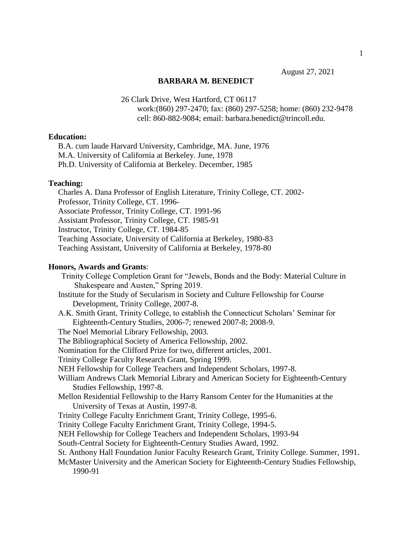August 27, 2021

#### **BARBARA M. BENEDICT**

26 Clark Drive, West Hartford, CT 06117 work:(860) 297-2470; fax: (860) 297-5258; home: (860) 232-9478 cell: 860-882-9084; email: barbara.benedict@trincoll.edu.

## **Education:**

 B.A. cum laude Harvard University, Cambridge, MA. June, 1976 M.A. University of California at Berkeley. June, 1978 Ph.D. University of California at Berkeley. December, 1985

#### **Teaching:**

 Charles A. Dana Professor of English Literature, Trinity College, CT. 2002- Professor, Trinity College, CT. 1996- Associate Professor, Trinity College, CT. 1991-96 Assistant Professor, Trinity College, CT. 1985-91 Instructor, Trinity College, CT. 1984-85 Teaching Associate, University of California at Berkeley, 1980-83 Teaching Assistant, University of California at Berkeley, 1978-80

#### **Honors, Awards and Grants**:

 Trinity College Completion Grant for "Jewels, Bonds and the Body: Material Culture in Shakespeare and Austen," Spring 2019. Institute for the Study of Secularism in Society and Culture Fellowship for Course Development, Trinity College, 2007-8. A.K. Smith Grant, Trinity College, to establish the Connecticut Scholars' Seminar for Eighteenth-Century Studies, 2006-7; renewed 2007-8; 2008-9. The Noel Memorial Library Fellowship, 2003. The Bibliographical Society of America Fellowship, 2002. Nomination for the Clifford Prize for two, different articles, 2001. Trinity College Faculty Research Grant, Spring 1999. NEH Fellowship for College Teachers and Independent Scholars, 1997-8. William Andrews Clark Memorial Library and American Society for Eighteenth-Century Studies Fellowship, 1997-8. Mellon Residential Fellowship to the Harry Ransom Center for the Humanities at the University of Texas at Austin, 1997-8. Trinity College Faculty Enrichment Grant, Trinity College, 1995-6. Trinity College Faculty Enrichment Grant, Trinity College, 1994-5. NEH Fellowship for College Teachers and Independent Scholars, 1993-94 South-Central Society for Eighteenth-Century Studies Award, 1992. St. Anthony Hall Foundation Junior Faculty Research Grant, Trinity College. Summer, 1991. McMaster University and the American Society for Eighteenth-Century Studies Fellowship, 1990-91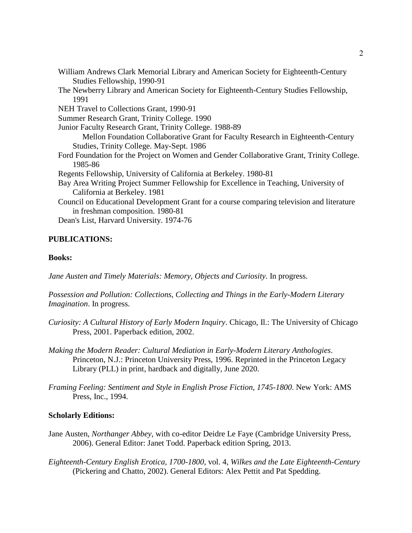|         | Studies Fellowship, 1990-91                                                               |
|---------|-------------------------------------------------------------------------------------------|
|         | The Newberry Library and American Society for Eighteenth-Century Studies Fellowship,      |
| 1991    |                                                                                           |
|         | NEH Travel to Collections Grant, 1990-91                                                  |
|         | Summer Research Grant, Trinity College. 1990                                              |
|         | Junior Faculty Research Grant, Trinity College. 1988-89                                   |
|         | Mellon Foundation Collaborative Grant for Faculty Research in Eighteenth-Century          |
|         | Studies, Trinity College. May-Sept. 1986                                                  |
|         | Ford Foundation for the Project on Women and Gender Collaborative Grant, Trinity College. |
| 1985-86 |                                                                                           |
|         | Regents Fellowship, University of California at Berkeley. 1980-81                         |
|         | Bay Area Writing Project Summer Fellowship for Excellence in Teaching, University of      |
|         | California at Berkeley. 1981                                                              |
|         | Council on Educational Development Grant for a course comparing television and literature |
|         | in freshman composition. 1980-81                                                          |
|         | Dean's List, Harvard University. 1974-76                                                  |

William Andrews Clark Memorial Library and American Society for Eighteenth-Century

# **PUBLICATIONS:**

## **Books:**

Jane Austen and Timely Materials: Memory, Objects and Curiosity. In progress.

*Possession and Pollution: Collections, Collecting and Things in the Early-Modern Literary Imagination*. In progress.

- *Curiosity: A Cultural History of Early Modern Inquiry*. Chicago, Il.: The University of Chicago Press, 2001. Paperback edition, 2002.
- *Making the Modern Reader: Cultural Mediation in Early-Modern Literary Anthologies*. Princeton, N.J.: Princeton University Press, 1996. Reprinted in the Princeton Legacy Library (PLL) in print, hardback and digitally, June 2020.
- *Framing Feeling: Sentiment and Style in English Prose Fiction, 1745-1800*. New York: AMS Press, Inc., 1994.

### **Scholarly Editions:**

- Jane Austen, *Northanger Abbey*, with co-editor Deidre Le Faye (Cambridge University Press, 2006). General Editor: Janet Todd. Paperback edition Spring, 2013.
- *Eighteenth-Century English Erotica, 1700-1800*, vol. 4, *Wilkes and the Late Eighteenth-Century* (Pickering and Chatto, 2002). General Editors: Alex Pettit and Pat Spedding.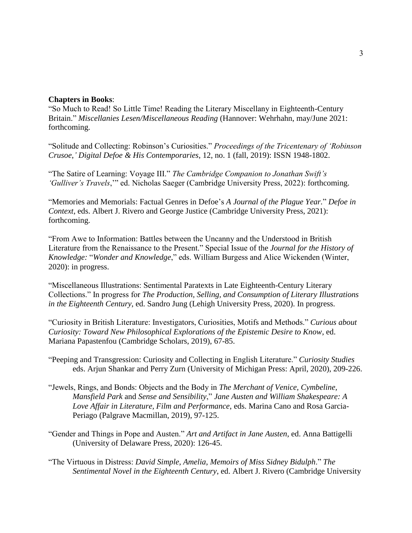## **Chapters in Books**:

"So Much to Read! So Little Time! Reading the Literary Miscellany in Eighteenth-Century Britain." *Miscellanies Lesen/Miscellaneous Reading* (Hannover: Wehrhahn, may/June 2021: forthcoming.

"Solitude and Collecting: Robinson's Curiosities." *Proceedings of the Tricentenary of 'Robinson Crusoe*,*' Digital Defoe & His Contemporaries*, 12, no. 1 (fall, 2019): ISSN 1948-1802.

"The Satire of Learning: Voyage III." *The Cambridge Companion to Jonathan Swift's 'Gulliver's Travels*,'" ed. Nicholas Saeger (Cambridge University Press, 2022): forthcoming.

"Memories and Memorials: Factual Genres in Defoe's *A Journal of the Plague Year.*" *Defoe in Context*, eds. Albert J. Rivero and George Justice (Cambridge University Press, 2021): forthcoming.

"From Awe to Information: Battles between the Uncanny and the Understood in British Literature from the Renaissance to the Present." Special Issue of the *Journal for the History of Knowledge:* "*Wonder and Knowledge*," eds. William Burgess and Alice Wickenden (Winter, 2020): in progress.

"Miscellaneous Illustrations: Sentimental Paratexts in Late Eighteenth-Century Literary Collections." In progress for *The Production, Selling, and Consumption of Literary Illustrations in the Eighteenth Century*, ed. Sandro Jung (Lehigh University Press, 2020). In progress.

"Curiosity in British Literature: Investigators, Curiosities, Motifs and Methods." *Curious about Curiosity: Toward New Philosophical Explorations of the Epistemic Desire to Know*, ed. Mariana Papastenfou (Cambridge Scholars, 2019), 67-85.

"Peeping and Transgression: Curiosity and Collecting in English Literature." *Curiosity Studies*  eds. Arjun Shankar and Perry Zurn (University of Michigan Press: April, 2020), 209-226.

- "Jewels, Rings, and Bonds: Objects and the Body in *The Merchant of Venice, Cymbeline, Mansfield Park* and *Sense and Sensibility*," *Jane Austen and William Shakespeare: A Love Affair in Literature, Film and Performance*, eds. Marina Cano and Rosa Garcia-Periago (Palgrave Macmillan, 2019), 97-125.
- "Gender and Things in Pope and Austen." *Art and Artifact in Jane Austen*, ed. Anna Battigelli (University of Delaware Press, 2020): 126-45.
- "The Virtuous in Distress: *David Simple, Amelia*, *Memoirs of Miss Sidney Bidulph*." *The Sentimental Novel in the Eighteenth Century*, ed. Albert J. Rivero (Cambridge University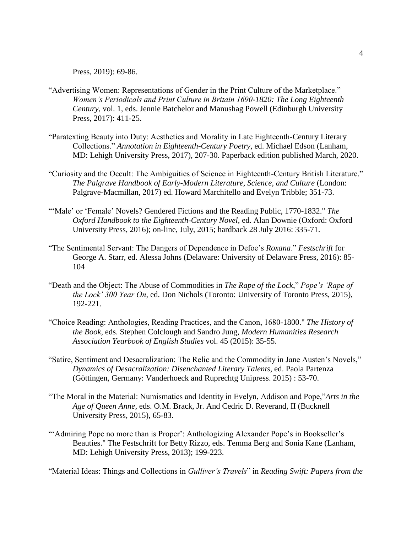Press, 2019): 69-86.

- "Advertising Women: Representations of Gender in the Print Culture of the Marketplace." *Women's Periodicals and Print Culture in Britain 1690-1820: The Long Eighteenth Century*, vol. 1, eds. Jennie Batchelor and Manushag Powell (Edinburgh University Press, 2017): 411-25.
- "Paratexting Beauty into Duty: Aesthetics and Morality in Late Eighteenth-Century Literary Collections." *Annotation in Eighteenth-Century Poetry*, ed. Michael Edson (Lanham, MD: Lehigh University Press, 2017), 207-30. Paperback edition published March, 2020.
- "Curiosity and the Occult: The Ambiguities of Science in Eighteenth-Century British Literature." *The Palgrave Handbook of Early-Modern Literature, Science, and Culture* (London: Palgrave-Macmillan, 2017) ed. Howard Marchitello and Evelyn Tribble; 351-73.
- "'Male' or 'Female' Novels? Gendered Fictions and the Reading Public, 1770-1832." *The Oxford Handbook to the Eighteenth-Century Novel*, ed. Alan Downie (Oxford: Oxford University Press, 2016); on-line, July, 2015; hardback 28 July 2016: 335-71.
- "The Sentimental Servant: The Dangers of Dependence in Defoe's *Roxana*." *Festschrift* for George A. Starr, ed. Alessa Johns (Delaware: University of Delaware Press, 2016): 85- 104
- "Death and the Object: The Abuse of Commodities in *The Rape of the Lock*," *Pope's 'Rape of the Lock' 300 Year On*, ed. Don Nichols (Toronto: University of Toronto Press, 2015), 192-221.
- "Choice Reading: Anthologies, Reading Practices, and the Canon, 1680-1800." *The History of the Book*, eds. Stephen Colclough and Sandro Jung, *Modern Humanities Research Association Yearbook of English Studies* vol. 45 (2015): 35-55.
- "Satire, Sentiment and Desacralization: The Relic and the Commodity in Jane Austen's Novels," *Dynamics of Desacralization: Disenchanted Literary Talents*, ed. Paola Partenza (Göttingen, Germany: Vanderhoeck and Ruprechtg Unipress. 2015) : 53-70.
- "The Moral in the Material: Numismatics and Identity in Evelyn, Addison and Pope,"*Arts in the Age of Queen Anne*, eds. O.M. Brack, Jr. And Cedric D. Reverand, II (Bucknell University Press, 2015), 65-83.
- "'Admiring Pope no more than is Proper': Anthologizing Alexander Pope's in Bookseller's Beauties." The Festschrift for Betty Rizzo, eds. Temma Berg and Sonia Kane (Lanham, MD: Lehigh University Press, 2013); 199-223.

"Material Ideas: Things and Collections in *Gulliver's Travels*" in *Reading Swift: Papers from the*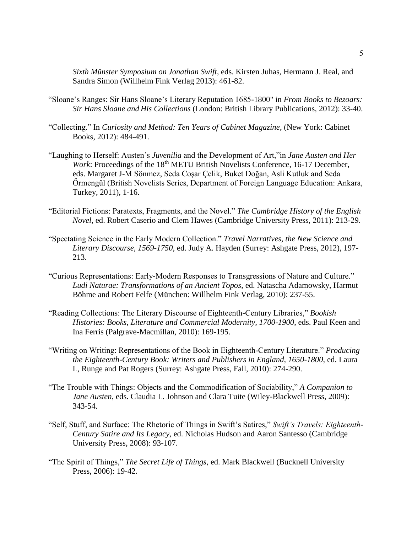*Sixth Münster Symposium on Jonathan Swift*, eds. Kirsten Juhas, Hermann J. Real, and Sandra Simon (Willhelm Fink Verlag 2013): 461-82.

- "Sloane's Ranges: Sir Hans Sloane's Literary Reputation 1685-1800" in *From Books to Bezoars: Sir Hans Sloane and His Collections* (London: British Library Publications, 2012): 33-40.
- "Collecting." In *Curiosity and Method: Ten Years of Cabinet Magazine*, (New York: Cabinet Books, 2012): 484-491.
- "Laughing to Herself: Austen's *Juvenilia* and the Development of Art,"in *Jane Austen and Her Work*: Proceedings of the 18<sup>th</sup> METU British Novelists Conference, 16-17 December, eds. Margaret J-M Sönmez, Seda Coşar Çelik, Buket Doğan, Asli Kutluk and Seda Őrmengűl (British Novelists Series, Department of Foreign Language Education: Ankara, Turkey, 2011), 1-16.
- "Editorial Fictions: Paratexts, Fragments, and the Novel." *The Cambridge History of the English Novel*, ed. Robert Caserio and Clem Hawes (Cambridge University Press, 2011): 213-29.
- "Spectating Science in the Early Modern Collection." *Travel Narratives, the New Science and Literary Discourse, 1569-1750*, ed. Judy A. Hayden (Surrey: Ashgate Press, 2012), 197- 213.
- "Curious Representations: Early-Modern Responses to Transgressions of Nature and Culture." *Ludi Naturae: Transformations of an Ancient Topos*, ed. Natascha Adamowsky, Harmut Böhme and Robert Felfe (München: Willhelm Fink Verlag, 2010): 237-55.
- "Reading Collections: The Literary Discourse of Eighteenth-Century Libraries," *Bookish Histories: Books, Literature and Commercial Modernity, 1700-1900*, eds. Paul Keen and Ina Ferris (Palgrave-Macmillan, 2010): 169-195.
- "Writing on Writing: Representations of the Book in Eighteenth-Century Literature." *Producing the Eighteenth-Century Book: Writers and Publishers in England, 1650-1800*, ed. Laura L, Runge and Pat Rogers (Surrey: Ashgate Press, Fall, 2010): 274-290.
- "The Trouble with Things: Objects and the Commodification of Sociability," *A Companion to Jane Austen*, eds. Claudia L. Johnson and Clara Tuite (Wiley-Blackwell Press, 2009): 343-54.
- "Self, Stuff, and Surface: The Rhetoric of Things in Swift's Satires," *Swift's Travels: Eighteenth-Century Satire and Its Legacy*, ed. Nicholas Hudson and Aaron Santesso (Cambridge University Press, 2008): 93-107.
- "The Spirit of Things," *The Secret Life of Things*, ed. Mark Blackwell (Bucknell University Press, 2006): 19-42.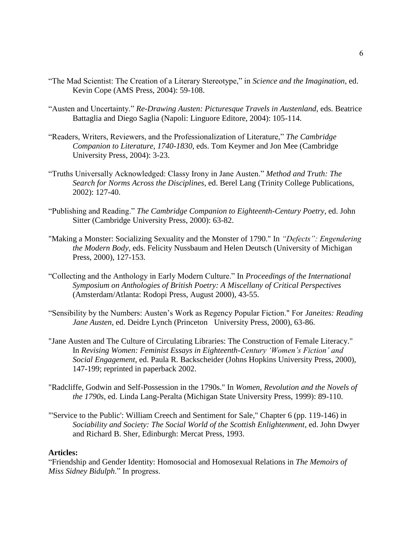- "The Mad Scientist: The Creation of a Literary Stereotype," in *Science and the Imagination*, ed. Kevin Cope (AMS Press, 2004): 59-108.
- "Austen and Uncertainty." *Re-Drawing Austen: Picturesque Travels in Austenland,* eds. Beatrice Battaglia and Diego Saglia (Napoli: Linguore Editore, 2004): 105-114.
- "Readers, Writers, Reviewers, and the Professionalization of Literature," *The Cambridge Companion to Literature, 1740-1830*, eds. Tom Keymer and Jon Mee (Cambridge University Press, 2004): 3-23.
- "Truths Universally Acknowledged: Classy Irony in Jane Austen." *Method and Truth: The Search for Norms Across the Disciplines*, ed. Berel Lang (Trinity College Publications, 2002): 127-40.
- "Publishing and Reading." *The Cambridge Companion to Eighteenth-Century Poetry*, ed. John Sitter (Cambridge University Press, 2000): 63-82.
- "Making a Monster: Socializing Sexuality and the Monster of 1790." In *"Defects": Engendering the Modern Body*, eds. Felicity Nussbaum and Helen Deutsch (University of Michigan Press, 2000), 127-153.
- "Collecting and the Anthology in Early Modern Culture." In *Proceedings of the International Symposium on Anthologies of British Poetry: A Miscellany of Critical Perspectives* (Amsterdam/Atlanta: Rodopi Press, August 2000), 43-55.
- "Sensibility by the Numbers: Austen's Work as Regency Popular Fiction." For *Janeites: Reading Jane Austen*, ed. Deidre Lynch (Princeton University Press, 2000), 63-86.
- "Jane Austen and The Culture of Circulating Libraries: The Construction of Female Literacy." In *Revising Women: Feminist Essays in Eighteenth-Century 'Women's Fiction' and Social Engagement,* ed. Paula R. Backscheider (Johns Hopkins University Press, 2000), 147-199; reprinted in paperback 2002.
- "Radcliffe, Godwin and Self-Possession in the 1790s." In *Women, Revolution and the Novels of the 1790s*, ed. Linda Lang-Peralta (Michigan State University Press, 1999): 89-110.
- "'Service to the Public': William Creech and Sentiment for Sale," Chapter 6 (pp. 119-146) in *Sociability and Society: The Social World of the Scottish Enlightenment*, ed. John Dwyer and Richard B. Sher, Edinburgh: Mercat Press, 1993.

### **Articles:**

"Friendship and Gender Identity: Homosocial and Homosexual Relations in *The Memoirs of Miss Sidney Bidulph*." In progress.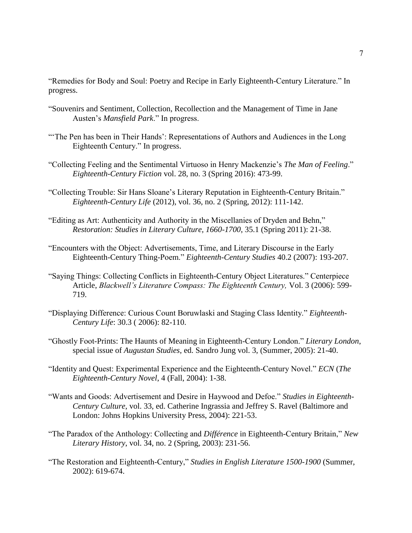"Remedies for Body and Soul: Poetry and Recipe in Early Eighteenth-Century Literature." In progress.

- "Souvenirs and Sentiment, Collection, Recollection and the Management of Time in Jane Austen's *Mansfield Park*." In progress.
- "The Pen has been in Their Hands': Representations of Authors and Audiences in the Long Eighteenth Century." In progress.
- "Collecting Feeling and the Sentimental Virtuoso in Henry Mackenzie's *The Man of Feeling*." *Eighteenth-Century Fiction* vol. 28, no. 3 (Spring 2016): 473-99.
- "Collecting Trouble: Sir Hans Sloane's Literary Reputation in Eighteenth-Century Britain." *Eighteenth-Century Life* (2012), vol. 36, no. 2 (Spring, 2012): 111-142.
- "Editing as Art: Authenticity and Authority in the Miscellanies of Dryden and Behn," *Restoration: Studies in Literary Culture, 1660-1700*, 35.1 (Spring 2011): 21-38.
- "Encounters with the Object: Advertisements, Time, and Literary Discourse in the Early Eighteenth-Century Thing-Poem." *Eighteenth-Century Studies* 40.2 (2007): 193-207.
- "Saying Things: Collecting Conflicts in Eighteenth-Century Object Literatures." Centerpiece Article, *Blackwell's Literature Compass: The Eighteenth Century,* Vol. 3 (2006): 599- 719.
- "Displaying Difference: Curious Count Boruwlaski and Staging Class Identity." *Eighteenth-Century Life*: 30.3 ( 2006): 82-110.
- "Ghostly Foot-Prints: The Haunts of Meaning in Eighteenth-Century London." *Literary London*, special issue of *Augustan Studies*, ed. Sandro Jung vol. 3, (Summer, 2005): 21-40.
- "Identity and Quest: Experimental Experience and the Eighteenth-Century Novel." *ECN* (*The Eighteenth-Century Novel*, 4 (Fall, 2004): 1-38.
- "Wants and Goods: Advertisement and Desire in Haywood and Defoe." *Studies in Eighteenth-Century Culture*, vol. 33, ed. Catherine Ingrassia and Jeffrey S. Ravel (Baltimore and London: Johns Hopkins University Press, 2004): 221-53.
- "The Paradox of the Anthology: Collecting and *Différence* in Eighteenth-Century Britain," *New Literary History*, vol. 34, no. 2 (Spring, 2003): 231-56.
- "The Restoration and Eighteenth-Century," *Studies in English Literature 1500-1900* (Summer, 2002): 619-674.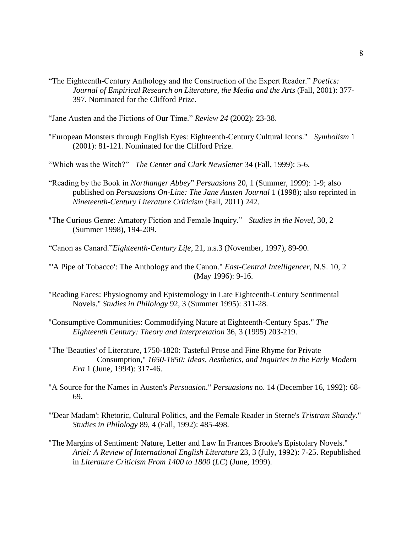- "The Eighteenth-Century Anthology and the Construction of the Expert Reader." *Poetics: Journal of Empirical Research on Literature, the Media and the Arts* (Fall, 2001): 377- 397. Nominated for the Clifford Prize.
- "Jane Austen and the Fictions of Our Time." *Review 24* (2002): 23-38.
- "European Monsters through English Eyes: Eighteenth-Century Cultural Icons." *Symbolism* 1 (2001): 81-121. Nominated for the Clifford Prize.

"Which was the Witch?" *The Center and Clark Newsletter* 34 (Fall, 1999): 5-6.

- "Reading by the Book in *Northanger Abbey*" *Persuasions* 20, 1 (Summer, 1999): 1-9; also published on *Persuasions On-Line: The Jane Austen Journal* 1 (1998); also reprinted in *Nineteenth-Century Literature Criticism* (Fall, 2011) 242.
- "The Curious Genre: Amatory Fiction and Female Inquiry." *Studies in the Novel*, 30, 2 (Summer 1998), 194-209.
- "Canon as Canard."*Eighteenth-Century Life*, 21, n.s.3 (November, 1997), 89-90.

"'A Pipe of Tobacco': The Anthology and the Canon." *East-Central Intelligencer*, N.S. 10, 2 (May 1996): 9-16.

- "Reading Faces: Physiognomy and Epistemology in Late Eighteenth-Century Sentimental Novels." *Studies in Philology* 92, 3 (Summer 1995): 311-28.
- "Consumptive Communities: Commodifying Nature at Eighteenth-Century Spas." *The Eighteenth Century: Theory and Interpretation* 36, 3 (1995) 203-219.
- "The 'Beauties' of Literature, 1750-1820: Tasteful Prose and Fine Rhyme for Private Consumption," *1650-1850: Ideas, Aesthetics, and Inquiries in the Early Modern Era* 1 (June, 1994): 317-46.
- "A Source for the Names in Austen's *Persuasion*." *Persuasions* no. 14 (December 16, 1992): 68- 69.
- "'Dear Madam': Rhetoric, Cultural Politics, and the Female Reader in Sterne's *Tristram Shandy*." *Studies in Philology* 89, 4 (Fall, 1992): 485-498.
- "The Margins of Sentiment: Nature, Letter and Law In Frances Brooke's Epistolary Novels." *Ariel: A Review of International English Literature* 23, 3 (July, 1992): 7-25. Republished in *Literature Criticism From 1400 to 1800* (*LC*) (June, 1999).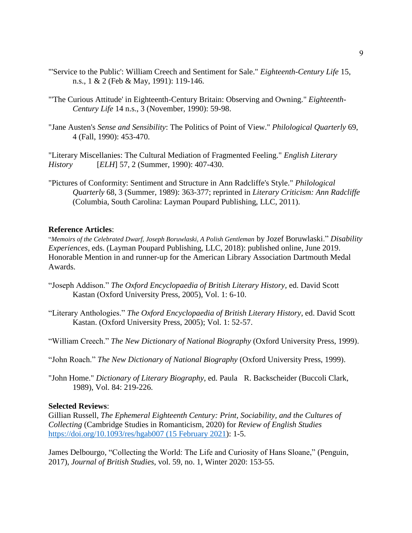- "'Service to the Public': William Creech and Sentiment for Sale." *Eighteenth-Century Life* 15, n.s., 1 & 2 (Feb & May, 1991): 119-146.
- "'The Curious Attitude' in Eighteenth-Century Britain: Observing and Owning." *Eighteenth-Century Life* 14 n.s., 3 (November, 1990): 59-98.
- "Jane Austen's *Sense and Sensibility*: The Politics of Point of View." *Philological Quarterly* 69, 4 (Fall, 1990): 453-470.

"Literary Miscellanies: The Cultural Mediation of Fragmented Feeling." *English Literary History* [*ELH*] 57, 2 (Summer, 1990): 407-430.

"Pictures of Conformity: Sentiment and Structure in Ann Radcliffe's Style." *Philological Quarterly* 68, 3 (Summer, 1989): 363-377; reprinted in *Literary Criticism: Ann Radcliffe* (Columbia, South Carolina: Layman Poupard Publishing, LLC, 2011).

### **Reference Articles**:

"*Memoirs of the Celebrated Dwarf, Joseph Boruwlaski, A Polish Gentleman* by Jozef Boruwlaski." *Disability Experiences*, eds. (Layman Poupard Publishing, LLC, 2018): published online, June 2019. Honorable Mention in and runner-up for the American Library Association Dartmouth Medal Awards.

- "Joseph Addison." *The Oxford Encyclopaedia of British Literary History*, ed. David Scott Kastan (Oxford University Press, 2005), Vol. 1: 6-10.
- "Literary Anthologies." *The Oxford Encyclopaedia of British Literary History*, ed. David Scott Kastan. (Oxford University Press, 2005); Vol. 1: 52-57.
- "William Creech." *The New Dictionary of National Biography* (Oxford University Press, 1999).
- "John Roach." *The New Dictionary of National Biography* (Oxford University Press, 1999).
- "John Home." *Dictionary of Literary Biography*, ed. Paula R. Backscheider (Buccoli Clark, 1989), Vol. 84: 219-226.

### **Selected Reviews**:

Gillian Russell, *The Ephemeral Eighteenth Century: Print, Sociability, and the Cultures of Collecting* (Cambridge Studies in Romanticism, 2020) for *Review of English Studies* [https://doi.org/10.1093/res/hgab007 \(15 February 2021\)](https://doi.org/10.1093/res/hgab007%20(15%20February%202021): 1-5.

James Delbourgo, "Collecting the World: The Life and Curiosity of Hans Sloane," (Penguin, 2017), *Journal of British Studies*, vol. 59, no. 1, Winter 2020: 153-55.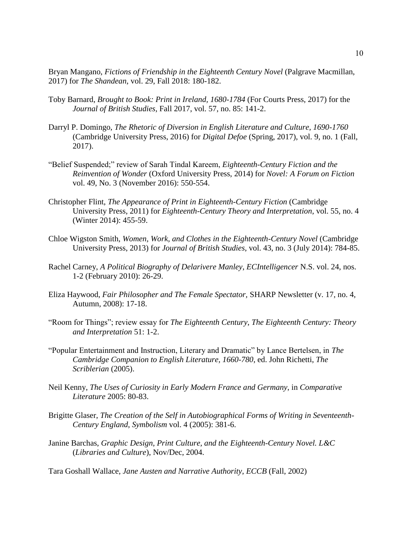Bryan Mangano, *Fictions of Friendship in the Eighteenth Century Novel* (Palgrave Macmillan, 2017) for *The Shandean*, vol. 29, Fall 2018: 180-182.

- Toby Barnard, *Brought to Book: Print in Ireland, 1680-1784* (For Courts Press, 2017) for the *Journal of British Studies*, Fall 2017, vol. 57, no. 85: 141-2.
- Darryl P. Domingo, *The Rhetoric of Diversion in English Literature and Culture, 1690-1760* (Cambridge University Press, 2016) for *Digital Defoe* (Spring, 2017), vol. 9, no. 1 (Fall, 2017).
- "Belief Suspended;" review of Sarah Tindal Kareem, *Eighteenth-Century Fiction and the Reinvention of Wonder* (Oxford University Press, 2014) for *Novel: A Forum on Fiction* vol. 49, No. 3 (November 2016): 550-554.
- Christopher Flint, *The Appearance of Print in Eighteenth-Century Fiction* (Cambridge University Press, 2011) for *Eighteenth-Century Theory and Interpretation*, vol. 55, no. 4 (Winter 2014): 455-59.
- Chloe Wigston Smith, *Women, Work, and Clothes in the Eighteenth-Century Novel* (Cambridge University Press, 2013) for *Journal of British Studies*, vol. 43, no. 3 (July 2014): 784-85.
- Rachel Carney, *A Political Biography of Delarivere Manley*, *ECIntelligencer* N.S. vol. 24, nos. 1-2 (February 2010): 26-29.
- Eliza Haywood, *Fair Philosopher and The Female Spectator,* SHARP Newsletter (v. 17, no. 4, Autumn, 2008): 17-18.
- "Room for Things"; review essay for *The Eighteenth Century*, *The Eighteenth Century: Theory and Interpretation* 51: 1-2.
- "Popular Entertainment and Instruction, Literary and Dramatic" by Lance Bertelsen, in *The Cambridge Companion to English Literature, 1660-780*, ed. John Richetti, *The Scriblerian* (2005).
- Neil Kenny, *The Uses of Curiosity in Early Modern France and Germany*, in *Comparative Literature* 2005: 80-83.
- Brigitte Glaser, *The Creation of the Self in Autobiographical Forms of Writing in Seventeenth-Century England*, *Symbolism* vol. 4 (2005): 381-6.
- Janine Barchas, *Graphic Design, Print Culture, and the Eighteenth-Century Novel. L&C*  (*Libraries and Culture*), Nov/Dec, 2004.

Tara Goshall Wallace, *Jane Austen and Narrative Authority*, *ECCB* (Fall, 2002)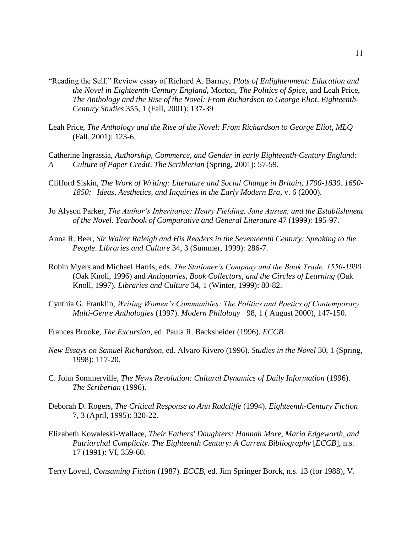- "Reading the Self." Review essay of Richard A. Barney, *Plots of Enlightenment: Education and the Novel in Eighteenth-Century England*, Morton, *The Politics of Spice*, and Leah Price, *The Anthology and the Rise of the Novel: From Richardson to George Eliot*, *Eighteenth-Century Studies* 355, 1 (Fall, 2001): 137-39
- Leah Price, *The Anthology and the Rise of the Novel: From Richardson to George Eliot*, *MLQ* (Fall, 2001): 123-6.
- Catherine Ingrassia, *Authorship, Commerce, and Gender in early Eighteenth-Century England: A Culture of Paper Credit*. *The Scriblerian* (Spring, 2001): 57-59.
- Clifford Siskin, *The Work of Writing: Literature and Social Change in Britain, 1700-1830*. *1650- 1850: Ideas, Aesthetics, and Inquiries in the Early Modern Era*, v. 6 (2000).
- Jo Alyson Parker, *The Author's Inheritance: Henry Fielding, Jane Austen, and the Establishment of the Novel*. *Yearbook of Comparative and General Literature* 47 (1999): 195-97.
- Anna R. Beer, *Sir Walter Raleigh and His Readers in the Seventeenth Century: Speaking to the People*. *Libraries and Culture* 34, 3 (Summer, 1999): 286-7.
- Robin Myers and Michael Harris, eds. *The Stationer's Company and the Book Trade, 1550-1990* (Oak Knoll, 1996) and *Antiquaries, Book Collectors, and the Circles of Learning* (Oak Knoll, 1997). *Libraries and Culture* 34, 1 (Winter, 1999): 80-82.
- Cynthia G. Franklin, *Writing Women's Communities: The Politics and Poetics of Contemporary Multi-Genre Anthologies* (1997). *Modern Philology* 98, 1 ( August 2000), 147-150.
- Frances Brooke, *The Excursion*, ed. Paula R. Backsheider (1996). *ECCB.*
- *New Essays on Samuel Richardson*, ed. Alvaro Rivero (1996). *Studies in the Novel* 30, 1 (Spring, 1998): 117-20.
- C. John Sommerville, *The News Revolution: Cultural Dynamics of Daily Information* (1996). *The Scriberian* (1996).
- Deborah D. Rogers, *The Critical Response to Ann Radcliffe* (1994). *Eighteenth-Century Fiction* 7, 3 (April, 1995): 320-22.
- Elizabeth Kowaleski-Wallace, *Their Fathers' Daughters: Hannah More, Maria Edgeworth, and Patriarchal Complicity*. *The Eighteenth Century: A Current Bibliography* [*ECCB*], n.s. 17 (1991): VI, 359-60.

Terry Lovell, *Consuming Fiction* (1987). *ECCB*, ed. Jim Springer Borck, n.s. 13 (for 1988), V.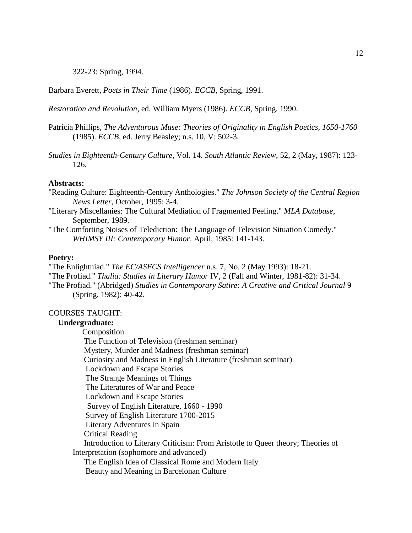322-23: Spring, 1994.

Barbara Everett, *Poets in Their Time* (1986). *ECCB*, Spring, 1991.

*Restoration and Revolution*, ed. William Myers (1986). *ECCB*, Spring, 1990.

- Patricia Phillips, *The Adventurous Muse: Theories of Originality in English Poetics, 1650-1760* (1985). *ECCB*, ed. Jerry Beasley; n.s. 10, V: 502-3.
- *Studies in Eighteenth-Century Culture*, Vol. 14. *South Atlantic Review*, 52, 2 (May, 1987): 123- 126.

#### **Abstracts:**

- "Reading Culture: Eighteenth-Century Anthologies." *The Johnson Society of the Central Region News Letter*, October, 1995: 3-4.
- "Literary Miscellanies: The Cultural Mediation of Fragmented Feeling." *MLA Database*, September, 1989.
- "The Comforting Noises of Telediction: The Language of Television Situation Comedy." *WHIMSY III: Contemporary Humor*. April, 1985: 141-143.

#### **Poetry:**

"The Enlightniad." *The EC/ASECS Intelligencer* n.s. 7, No. 2 (May 1993): 18-21. "The Profiad." *Thalia: Studies in Literary Humor* IV, 2 (Fall and Winter, 1981-82): 31-34. "The Profiad." (Abridged) *Studies in Contemporary Satire: A Creative and Critical Journal* 9 (Spring, 1982): 40-42.

#### COURSES TAUGHT:

#### **Undergraduate:**

 Composition The Function of Television (freshman seminar) Mystery, Murder and Madness (freshman seminar) Curiosity and Madness in English Literature (freshman seminar) Lockdown and Escape Stories The Strange Meanings of Things The Literatures of War and Peace Lockdown and Escape Stories Survey of English Literature, 1660 - 1990 Survey of English Literature 1700-2015 Literary Adventures in Spain Critical Reading Introduction to Literary Criticism: From Aristotle to Queer theory; Theories of Interpretation (sophomore and advanced) The English Idea of Classical Rome and Modern Italy Beauty and Meaning in Barcelonan Culture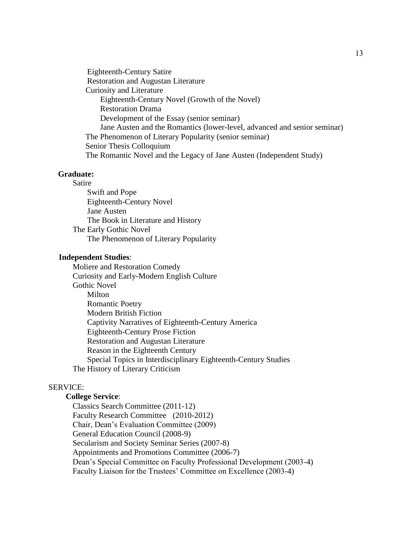Eighteenth-Century Satire Restoration and Augustan Literature Curiosity and Literature Eighteenth-Century Novel (Growth of the Novel) Restoration Drama Development of the Essay (senior seminar) Jane Austen and the Romantics (lower-level, advanced and senior seminar) The Phenomenon of Literary Popularity (senior seminar) Senior Thesis Colloquium The Romantic Novel and the Legacy of Jane Austen (Independent Study)

#### **Graduate:**

Satire Swift and Pope Eighteenth-Century Novel Jane Austen The Book in Literature and History The Early Gothic Novel The Phenomenon of Literary Popularity

#### **Independent Studies**:

Moliere and Restoration Comedy Curiosity and Early-Modern English Culture Gothic Novel Milton Romantic Poetry Modern British Fiction Captivity Narratives of Eighteenth-Century America Eighteenth-Century Prose Fiction Restoration and Augustan Literature Reason in the Eighteenth Century Special Topics in Interdisciplinary Eighteenth-Century Studies The History of Literary Criticism

### SERVICE:

## **College Service**:

Classics Search Committee (2011-12) Faculty Research Committee (2010-2012) Chair, Dean's Evaluation Committee (2009) General Education Council (2008-9) Secularism and Society Seminar Series (2007-8) Appointments and Promotions Committee (2006-7) Dean's Special Committee on Faculty Professional Development (2003-4) Faculty Liaison for the Trustees' Committee on Excellence (2003-4)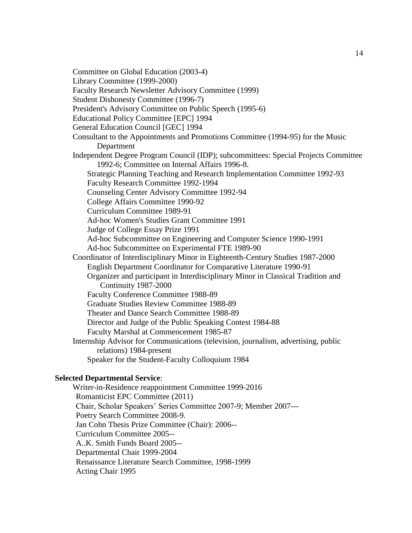Committee on Global Education (2003-4)

Library Committee (1999-2000)

Faculty Research Newsletter Advisory Committee (1999)

Student Dishonesty Committee (1996-7)

President's Advisory Committee on Public Speech (1995-6)

Educational Policy Committee [EPC] 1994

General Education Council [GEC] 1994

Consultant to the Appointments and Promotions Committee (1994-95) for the Music Department

Independent Degree Program Council (IDP); subcommittees: Special Projects Committee 1992-6; Committee on Internal Affairs 1996-8.

 Strategic Planning Teaching and Research Implementation Committee 1992-93 Faculty Research Committee 1992-1994

Counseling Center Advisory Committee 1992-94

College Affairs Committee 1990-92

Curriculum Committee 1989-91

Ad-hoc Women's Studies Grant Committee 1991

Judge of College Essay Prize 1991

Ad-hoc Subcommittee on Engineering and Computer Science 1990-1991

Ad-hoc Subcommittee on Experimental FTE 1989-90

Coordinator of Interdisciplinary Minor in Eighteenth-Century Studies 1987-2000 English Department Coordinator for Comparative Literature 1990-91

 Organizer and participant in Interdisciplinary Minor in Classical Tradition and Continuity 1987-2000

Faculty Conference Committee 1988-89

Graduate Studies Review Committee 1988-89

Theater and Dance Search Committee 1988-89

Director and Judge of the Public Speaking Contest 1984-88

Faculty Marshal at Commencement 1985-87

Internship Advisor for Communications (television, journalism, advertising, public relations) 1984-present

Speaker for the Student-Faculty Colloquium 1984

#### **Selected Departmental Service**:

Writer-in-Residence reappointment Committee 1999-2016 Romanticist EPC Committee (2011) Chair, Scholar Speakers' Series Committee 2007-9; Member 2007--- Poetry Search Committee 2008-9. Jan Cohn Thesis Prize Committee (Chair): 2006-- Curriculum Committee 2005-- A..K. Smith Funds Board 2005-- Departmental Chair 1999-2004 Renaissance Literature Search Committee, 1998-1999 Acting Chair 1995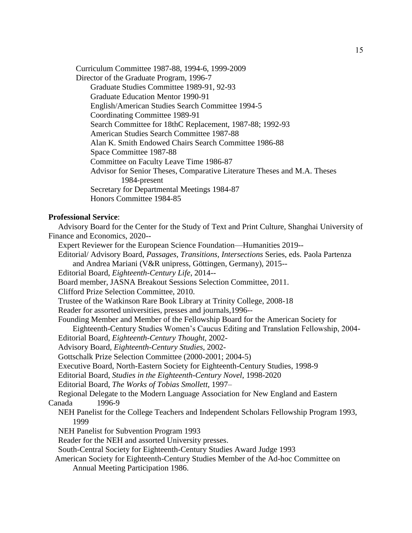Curriculum Committee 1987-88, 1994-6, 1999-2009 Director of the Graduate Program, 1996-7

 Graduate Studies Committee 1989-91, 92-93 Graduate Education Mentor 1990-91 English/American Studies Search Committee 1994-5 Coordinating Committee 1989-91 Search Committee for 18thC Replacement, 1987-88; 1992-93 American Studies Search Committee 1987-88 Alan K. Smith Endowed Chairs Search Committee 1986-88 Space Committee 1987-88 Committee on Faculty Leave Time 1986-87 Advisor for Senior Theses, Comparative Literature Theses and M.A. Theses 1984-present Secretary for Departmental Meetings 1984-87 Honors Committee 1984-85

#### **Professional Service**:

 Advisory Board for the Center for the Study of Text and Print Culture, Shanghai University of Finance and Economics, 2020-- Expert Reviewer for the European Science Foundation—Humanities 2019--

 Editorial/ Advisory Board, *Passages, Transitions, Intersections* Series, eds. Paola Partenza and Andrea Mariani (V&R unipress, Göttingen, Germany), 2015--

Editorial Board, *Eighteenth-Century Life*, 2014--

Board member, JASNA Breakout Sessions Selection Committee, 2011.

Clifford Prize Selection Committee, 2010.

Trustee of the Watkinson Rare Book Library at Trinity College, 2008-18

Reader for assorted universities, presses and journals,1996--

Founding Member and Member of the Fellowship Board for the American Society for

Eighteenth-Century Studies Women's Caucus Editing and Translation Fellowship, 2004-

Editorial Board, *Eighteenth-Century Thought*, 2002-

Advisory Board, *Eighteenth-Century Studies*, 2002-

Gottschalk Prize Selection Committee (2000-2001; 2004-5)

Executive Board, North-Eastern Society for Eighteenth-Century Studies, 1998-9

Editorial Board, *Studies in the Eighteenth-Century Novel*, 1998-2020

Editorial Board, *The Works of Tobias Smollett*, 1997–

 Regional Delegate to the Modern Language Association for New England and Eastern Canada 1996-9

 NEH Panelist for the College Teachers and Independent Scholars Fellowship Program 1993, 1999

NEH Panelist for Subvention Program 1993

Reader for the NEH and assorted University presses.

South-Central Society for Eighteenth-Century Studies Award Judge 1993

 American Society for Eighteenth-Century Studies Member of the Ad-hoc Committee on Annual Meeting Participation 1986.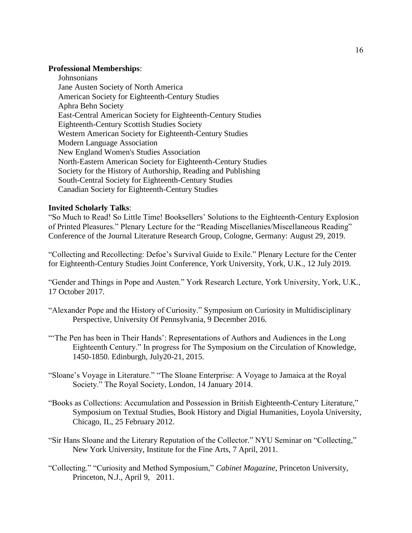#### **Professional Memberships**:

 Johnsonians Jane Austen Society of North America American Society for Eighteenth-Century Studies Aphra Behn Society East-Central American Society for Eighteenth-Century Studies Eighteenth-Century Scottish Studies Society Western American Society for Eighteenth-Century Studies Modern Language Association New England Women's Studies Association North-Eastern American Society for Eighteenth-Century Studies Society for the History of Authorship, Reading and Publishing South-Central Society for Eighteenth-Century Studies Canadian Society for Eighteenth-Century Studies

### **Invited Scholarly Talks**:

"So Much to Read! So Little Time! Booksellers' Solutions to the Eighteenth-Century Explosion of Printed Pleasures." Plenary Lecture for the "Reading Miscellanies/Miscellaneous Reading" Conference of the Journal Literature Research Group, Cologne, Germany: August 29, 2019.

"Collecting and Recollecting: Defoe's Survival Guide to Exile*.*" Plenary Lecture for the Center for Eighteenth-Century Studies Joint Conference, York University, York, U.K., 12 July 2019.

"Gender and Things in Pope and Austen." York Research Lecture, York University, York, U.K., 17 October 2017.

- "Alexander Pope and the History of Curiosity." Symposium on Curiosity in Multidisciplinary Perspective, University Of Pennsylvania, 9 December 2016.
- "The Pen has been in Their Hands': Representations of Authors and Audiences in the Long Eighteenth Century." In progress for The Symposium on the Circulation of Knowledge, 1450-1850. Edinburgh, July20-21, 2015.
- "Sloane's Voyage in Literature." "The Sloane Enterprise: A Voyage to Jamaica at the Royal Society." The Royal Society, London, 14 January 2014.
- "Books as Collections: Accumulation and Possession in British Eighteenth-Century Literature," Symposium on Textual Studies, Book History and Digial Humanities, Loyola University, Chicago, IL, 25 February 2012.
- "Sir Hans Sloane and the Literary Reputation of the Collector." NYU Seminar on "Collecting," New York University, Institute for the Fine Arts, 7 April, 2011.
- "Collecting." "Curiosity and Method Symposium," *Cabinet Magazine*, Princeton University, Princeton, N.J., April 9, 2011.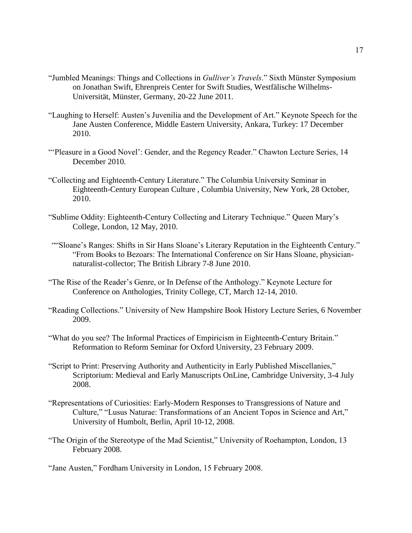- "Jumbled Meanings: Things and Collections in *Gulliver's Travels*." Sixth Münster Symposium on Jonathan Swift, Ehrenpreis Center for Swift Studies, Westfälische Wilhelms-Universität, Münster, Germany, 20-22 June 2011.
- "Laughing to Herself: Austen's Juvenilia and the Development of Art." Keynote Speech for the Jane Austen Conference, Middle Eastern University, Ankara, Turkey: 17 December 2010.
- "'Pleasure in a Good Novel': Gender, and the Regency Reader." Chawton Lecture Series, 14 December 2010.
- "Collecting and Eighteenth-Century Literature." The Columbia University Seminar in Eighteenth-Century European Culture , Columbia University, New York, 28 October, 2010.
- "Sublime Oddity: Eighteenth-Century Collecting and Literary Technique." Queen Mary's College, London, 12 May, 2010.
- ""Sloane's Ranges: Shifts in Sir Hans Sloane's Literary Reputation in the Eighteenth Century." "From Books to Bezoars: The International Conference on Sir Hans Sloane, physiciannaturalist-collector; The British Library 7-8 June 2010.
- "The Rise of the Reader's Genre, or In Defense of the Anthology." Keynote Lecture for Conference on Anthologies, Trinity College, CT, March 12-14, 2010.
- "Reading Collections." University of New Hampshire Book History Lecture Series, 6 November 2009.
- "What do you see? The Informal Practices of Empiricism in Eighteenth-Century Britain." Reformation to Reform Seminar for Oxford University, 23 February 2009.
- "Script to Print: Preserving Authority and Authenticity in Early Published Miscellanies," Scriptorium: Medieval and Early Manuscripts OnLine, Cambridge University, 3-4 July 2008.
- "Representations of Curiosities: Early-Modern Responses to Transgressions of Nature and Culture," "Lusus Naturae: Transformations of an Ancient Topos in Science and Art," University of Humbolt, Berlin, April 10-12, 2008.
- "The Origin of the Stereotype of the Mad Scientist," University of Roehampton, London, 13 February 2008.

"Jane Austen," Fordham University in London, 15 February 2008.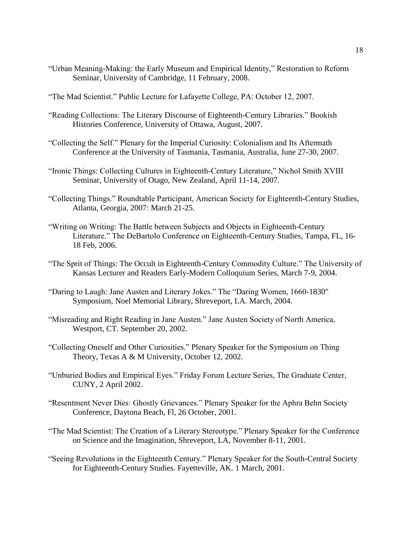- "Urban Meaning-Making: the Early Museum and Empirical Identity," Restoration to Reform Seminar, University of Cambridge, 11 February, 2008.
- "The Mad Scientist." Public Lecture for Lafayette College, PA: October 12, 2007.
- "Reading Collections: The Literary Discourse of Eighteenth-Century Libraries." Bookish Histories Conference, University of Ottawa, August, 2007.
- "Collecting the Self." Plenary for the Imperial Curiosity: Colonialism and Its Aftermath Conference at the University of Tasmania, Tasmania, Australia, June 27-30, 2007.
- "Ironic Things: Collecting Cultures in Eighteenth-Century Literature," Nichol Smith XVIII Seminar, University of Otago, New Zealand, April 11-14, 2007.
- "Collecting Things." Roundtable Participant, American Society for Eighteenth-Century Studies, Atlanta, Georgia, 2007: March 21-25.
- "Writing on Writing: The Battle between Subjects and Objects in Eighteenth-Century Literature." The DeBartolo Conference on Eighteenth-Century Studies, Tampa, FL, 16- 18 Feb, 2006.
- "The Sprit of Things: The Occult in Eighteenth-Century Commodity Culture." The University of Kansas Lecturer and Readers Early-Modern Colloquium Series, March 7-9, 2004.
- "Daring to Laugh: Jane Austen and Literary Jokes." The "Daring Women, 1660-1830" Symposium, Noel Memorial Library, Shreveport, LA. March, 2004.
- "Misreading and Right Reading in Jane Austen." Jane Austen Society of North America, Westport, CT. September 20, 2002.
- "Collecting Oneself and Other Curiosities." Plenary Speaker for the Symposium on Thing Theory, Texas A & M University, October 12, 2002.
- "Unburied Bodies and Empirical Eyes." Friday Forum Lecture Series, The Graduate Center, CUNY, 2 April 2002.
- "Resentment Never Dies: Ghostly Grievances." Plenary Speaker for the Aphra Behn Society Conference, Daytona Beach, Fl, 26 October, 2001.
- "The Mad Scientist: The Creation of a Literary Stereotype." Plenary Speaker for the Conference on Science and the Imagination, Shreveport, LA, November 8-11, 2001.
- "Seeing Revolutions in the Eighteenth Century." Plenary Speaker for the South-Central Society for Eighteenth-Century Studies. Fayetteville, AK. 1 March, 2001.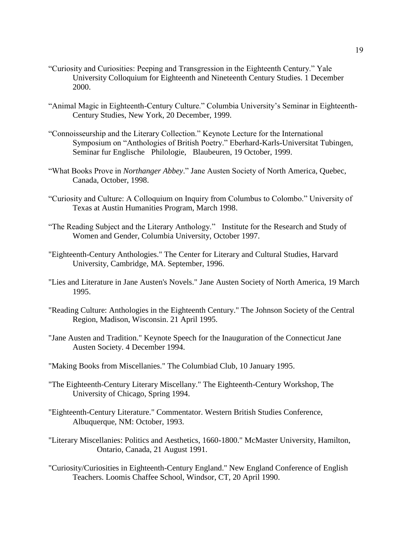- "Curiosity and Curiosities: Peeping and Transgression in the Eighteenth Century." Yale University Colloquium for Eighteenth and Nineteenth Century Studies. 1 December 2000.
- "Animal Magic in Eighteenth-Century Culture." Columbia University's Seminar in Eighteenth-Century Studies, New York, 20 December, 1999.
- "Connoisseurship and the Literary Collection." Keynote Lecture for the International Symposium on "Anthologies of British Poetry." Eberhard-Karls-Universitat Tubingen, Seminar fur Englische Philologie, Blaubeuren, 19 October, 1999.
- "What Books Prove in *Northanger Abbey*." Jane Austen Society of North America, Quebec, Canada, October, 1998.
- "Curiosity and Culture: A Colloquium on Inquiry from Columbus to Colombo." University of Texas at Austin Humanities Program, March 1998.
- "The Reading Subject and the Literary Anthology." Institute for the Research and Study of Women and Gender, Columbia University, October 1997.
- "Eighteenth-Century Anthologies." The Center for Literary and Cultural Studies, Harvard University, Cambridge, MA. September, 1996.
- "Lies and Literature in Jane Austen's Novels." Jane Austen Society of North America, 19 March 1995.
- "Reading Culture: Anthologies in the Eighteenth Century." The Johnson Society of the Central Region, Madison, Wisconsin. 21 April 1995.
- "Jane Austen and Tradition." Keynote Speech for the Inauguration of the Connecticut Jane Austen Society. 4 December 1994.
- "Making Books from Miscellanies." The Columbiad Club, 10 January 1995.
- "The Eighteenth-Century Literary Miscellany." The Eighteenth-Century Workshop, The University of Chicago, Spring 1994.
- "Eighteenth-Century Literature." Commentator. Western British Studies Conference, Albuquerque, NM: October, 1993.
- "Literary Miscellanies: Politics and Aesthetics, 1660-1800." McMaster University, Hamilton, Ontario, Canada, 21 August 1991.
- "Curiosity/Curiosities in Eighteenth-Century England." New England Conference of English Teachers. Loomis Chaffee School, Windsor, CT, 20 April 1990.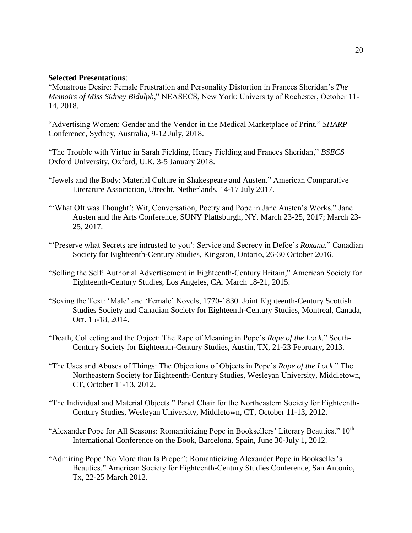### **Selected Presentations**:

"Monstrous Desire: Female Frustration and Personality Distortion in Frances Sheridan's *The Memoirs of Miss Sidney Bidulph*," NEASECS, New York: University of Rochester, October 11- 14, 2018.

"Advertising Women: Gender and the Vendor in the Medical Marketplace of Print," *SHARP* Conference, Sydney, Australia, 9-12 July, 2018.

"The Trouble with Virtue in Sarah Fielding, Henry Fielding and Frances Sheridan," *BSECS* Oxford University, Oxford, U.K. 3-5 January 2018.

- "Jewels and the Body: Material Culture in Shakespeare and Austen." American Comparative Literature Association, Utrecht, Netherlands, 14-17 July 2017.
- "'What Oft was Thought': Wit, Conversation, Poetry and Pope in Jane Austen's Works." Jane Austen and the Arts Conference, SUNY Plattsburgh, NY. March 23-25, 2017; March 23- 25, 2017.
- "'Preserve what Secrets are intrusted to you': Service and Secrecy in Defoe's *Roxana.*" Canadian Society for Eighteenth-Century Studies, Kingston, Ontario, 26-30 October 2016.
- "Selling the Self: Authorial Advertisement in Eighteenth-Century Britain," American Society for Eighteenth-Century Studies, Los Angeles, CA. March 18-21, 2015.
- "Sexing the Text: 'Male' and 'Female' Novels, 1770-1830. Joint Eighteenth-Century Scottish Studies Society and Canadian Society for Eighteenth-Century Studies, Montreal, Canada, Oct. 15-18, 2014.
- "Death, Collecting and the Object: The Rape of Meaning in Pope's *Rape of the Lock*." South-Century Society for Eighteenth-Century Studies, Austin, TX, 21-23 February, 2013.
- "The Uses and Abuses of Things: The Objections of Objects in Pope's *Rape of the Lock*." The Northeastern Society for Eighteenth-Century Studies, Wesleyan University, Middletown, CT, October 11-13, 2012.
- "The Individual and Material Objects." Panel Chair for the Northeastern Society for Eighteenth-Century Studies, Wesleyan University, Middletown, CT, October 11-13, 2012.
- "Alexander Pope for All Seasons: Romanticizing Pope in Booksellers' Literary Beauties." 10<sup>th</sup> International Conference on the Book, Barcelona, Spain, June 30-July 1, 2012.
- "Admiring Pope 'No More than Is Proper': Romanticizing Alexander Pope in Bookseller's Beauties." American Society for Eighteenth-Century Studies Conference, San Antonio, Tx, 22-25 March 2012.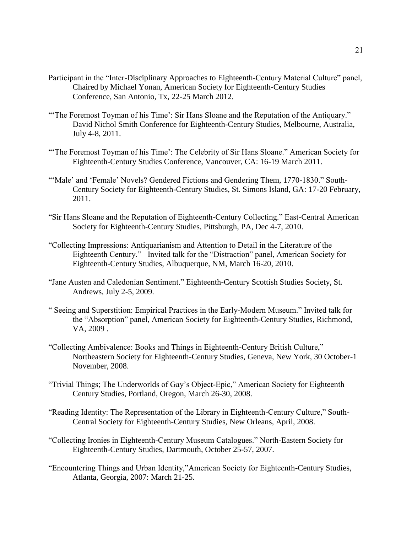- Participant in the "Inter-Disciplinary Approaches to Eighteenth-Century Material Culture" panel, Chaired by Michael Yonan, American Society for Eighteenth-Century Studies Conference, San Antonio, Tx, 22-25 March 2012.
- "'The Foremost Toyman of his Time': Sir Hans Sloane and the Reputation of the Antiquary." David Nichol Smith Conference for Eighteenth-Century Studies, Melbourne, Australia, July 4-8, 2011.
- "The Foremost Toyman of his Time': The Celebrity of Sir Hans Sloane." American Society for Eighteenth-Century Studies Conference, Vancouver, CA: 16-19 March 2011.
- "'Male' and 'Female' Novels? Gendered Fictions and Gendering Them, 1770-1830." South-Century Society for Eighteenth-Century Studies, St. Simons Island, GA: 17-20 February, 2011.
- "Sir Hans Sloane and the Reputation of Eighteenth-Century Collecting." East-Central American Society for Eighteenth-Century Studies, Pittsburgh, PA, Dec 4-7, 2010.
- "Collecting Impressions: Antiquarianism and Attention to Detail in the Literature of the Eighteenth Century." Invited talk for the "Distraction" panel, American Society for Eighteenth-Century Studies, Albuquerque, NM, March 16-20, 2010.
- "Jane Austen and Caledonian Sentiment." Eighteenth-Century Scottish Studies Society, St. Andrews, July 2-5, 2009.
- " Seeing and Superstition: Empirical Practices in the Early-Modern Museum." Invited talk for the "Absorption" panel, American Society for Eighteenth-Century Studies, Richmond, VA, 2009 .
- "Collecting Ambivalence: Books and Things in Eighteenth-Century British Culture," Northeastern Society for Eighteenth-Century Studies, Geneva, New York, 30 October-1 November, 2008.
- "Trivial Things; The Underworlds of Gay's Object-Epic," American Society for Eighteenth Century Studies, Portland, Oregon, March 26-30, 2008.
- "Reading Identity: The Representation of the Library in Eighteenth-Century Culture," South-Central Society for Eighteenth-Century Studies, New Orleans, April, 2008.
- "Collecting Ironies in Eighteenth-Century Museum Catalogues." North-Eastern Society for Eighteenth-Century Studies, Dartmouth, October 25-57, 2007.
- "Encountering Things and Urban Identity,"American Society for Eighteenth-Century Studies, Atlanta, Georgia, 2007: March 21-25.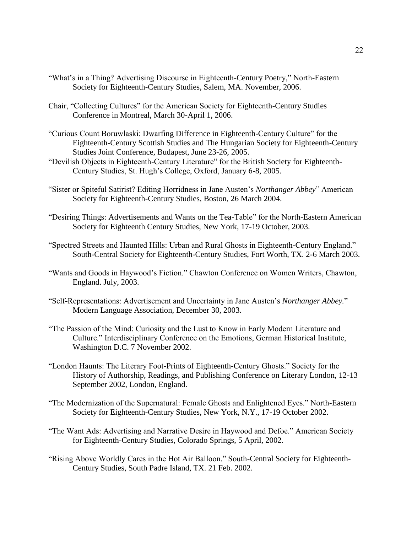- "What's in a Thing? Advertising Discourse in Eighteenth-Century Poetry," North-Eastern Society for Eighteenth-Century Studies, Salem, MA. November, 2006.
- Chair, "Collecting Cultures" for the American Society for Eighteenth-Century Studies Conference in Montreal, March 30-April 1, 2006.
- "Curious Count Boruwlaski: Dwarfing Difference in Eighteenth-Century Culture" for the Eighteenth-Century Scottish Studies and The Hungarian Society for Eighteenth-Century Studies Joint Conference, Budapest, June 23-26, 2005.
- "Devilish Objects in Eighteenth-Century Literature" for the British Society for Eighteenth-Century Studies, St. Hugh's College, Oxford, January 6-8, 2005.
- "Sister or Spiteful Satirist? Editing Horridness in Jane Austen's *Northanger Abbey*" American Society for Eighteenth-Century Studies, Boston, 26 March 2004.
- "Desiring Things: Advertisements and Wants on the Tea-Table" for the North-Eastern American Society for Eighteenth Century Studies, New York, 17-19 October, 2003.
- "Spectred Streets and Haunted Hills: Urban and Rural Ghosts in Eighteenth-Century England." South-Central Society for Eighteenth-Century Studies, Fort Worth, TX. 2-6 March 2003.
- "Wants and Goods in Haywood's Fiction." Chawton Conference on Women Writers, Chawton, England. July, 2003.
- "Self-Representations: Advertisement and Uncertainty in Jane Austen's *Northanger Abbey.*" Modern Language Association, December 30, 2003.
- "The Passion of the Mind: Curiosity and the Lust to Know in Early Modern Literature and Culture." Interdisciplinary Conference on the Emotions, German Historical Institute, Washington D.C. 7 November 2002.
- "London Haunts: The Literary Foot-Prints of Eighteenth-Century Ghosts." Society for the History of Authorship, Readings, and Publishing Conference on Literary London, 12-13 September 2002, London, England.
- "The Modernization of the Supernatural: Female Ghosts and Enlightened Eyes." North-Eastern Society for Eighteenth-Century Studies, New York, N.Y., 17-19 October 2002.
- "The Want Ads: Advertising and Narrative Desire in Haywood and Defoe." American Society for Eighteenth-Century Studies, Colorado Springs, 5 April, 2002.
- "Rising Above Worldly Cares in the Hot Air Balloon." South-Central Society for Eighteenth-Century Studies, South Padre Island, TX. 21 Feb. 2002.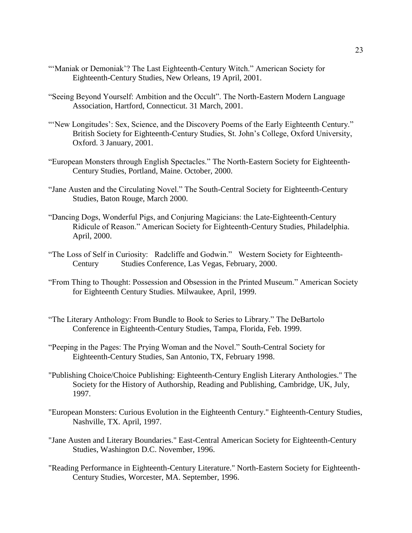- "'Maniak or Demoniak'? The Last Eighteenth-Century Witch." American Society for Eighteenth-Century Studies, New Orleans, 19 April, 2001.
- "Seeing Beyond Yourself: Ambition and the Occult". The North-Eastern Modern Language Association, Hartford, Connecticut. 31 March, 2001.
- "'New Longitudes': Sex, Science, and the Discovery Poems of the Early Eighteenth Century." British Society for Eighteenth-Century Studies, St. John's College, Oxford University, Oxford. 3 January, 2001.
- "European Monsters through English Spectacles." The North-Eastern Society for Eighteenth-Century Studies, Portland, Maine. October, 2000.
- "Jane Austen and the Circulating Novel." The South-Central Society for Eighteenth-Century Studies, Baton Rouge, March 2000.
- "Dancing Dogs, Wonderful Pigs, and Conjuring Magicians: the Late-Eighteenth-Century Ridicule of Reason." American Society for Eighteenth-Century Studies, Philadelphia. April, 2000.
- "The Loss of Self in Curiosity: Radcliffe and Godwin." Western Society for Eighteenth-Century Studies Conference, Las Vegas, February, 2000.
- "From Thing to Thought: Possession and Obsession in the Printed Museum." American Society for Eighteenth Century Studies. Milwaukee, April, 1999.
- "The Literary Anthology: From Bundle to Book to Series to Library." The DeBartolo Conference in Eighteenth-Century Studies, Tampa, Florida, Feb. 1999.
- "Peeping in the Pages: The Prying Woman and the Novel." South-Central Society for Eighteenth-Century Studies, San Antonio, TX, February 1998.
- "Publishing Choice/Choice Publishing: Eighteenth-Century English Literary Anthologies." The Society for the History of Authorship, Reading and Publishing, Cambridge, UK, July, 1997.
- "European Monsters: Curious Evolution in the Eighteenth Century." Eighteenth-Century Studies, Nashville, TX. April, 1997.
- "Jane Austen and Literary Boundaries." East-Central American Society for Eighteenth-Century Studies, Washington D.C. November, 1996.
- "Reading Performance in Eighteenth-Century Literature." North-Eastern Society for Eighteenth-Century Studies, Worcester, MA. September, 1996.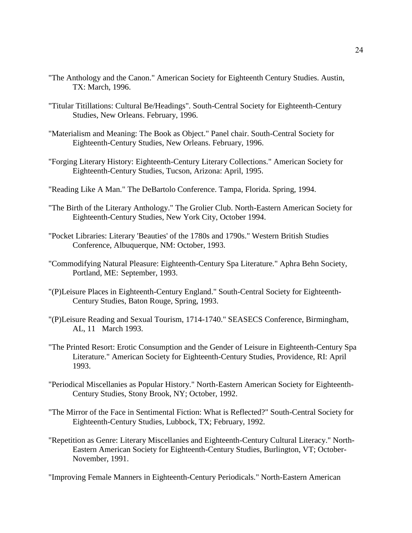- "The Anthology and the Canon." American Society for Eighteenth Century Studies. Austin, TX: March, 1996.
- "Titular Titillations: Cultural Be/Headings". South-Central Society for Eighteenth-Century Studies, New Orleans. February, 1996.
- "Materialism and Meaning: The Book as Object." Panel chair. South-Central Society for Eighteenth-Century Studies, New Orleans. February, 1996.
- "Forging Literary History: Eighteenth-Century Literary Collections." American Society for Eighteenth-Century Studies, Tucson, Arizona: April, 1995.
- "Reading Like A Man." The DeBartolo Conference. Tampa, Florida. Spring, 1994.
- "The Birth of the Literary Anthology." The Grolier Club. North-Eastern American Society for Eighteenth-Century Studies, New York City, October 1994.
- "Pocket Libraries: Literary 'Beauties' of the 1780s and 1790s." Western British Studies Conference, Albuquerque, NM: October, 1993.
- "Commodifying Natural Pleasure: Eighteenth-Century Spa Literature." Aphra Behn Society, Portland, ME: September, 1993.
- "(P)Leisure Places in Eighteenth-Century England." South-Central Society for Eighteenth-Century Studies, Baton Rouge, Spring, 1993.
- "(P)Leisure Reading and Sexual Tourism, 1714-1740." SEASECS Conference, Birmingham, AL, 11 March 1993.
- "The Printed Resort: Erotic Consumption and the Gender of Leisure in Eighteenth-Century Spa Literature." American Society for Eighteenth-Century Studies, Providence, RI: April 1993.
- "Periodical Miscellanies as Popular History." North-Eastern American Society for Eighteenth-Century Studies, Stony Brook, NY; October, 1992.
- "The Mirror of the Face in Sentimental Fiction: What is Reflected?" South-Central Society for Eighteenth-Century Studies, Lubbock, TX; February, 1992.
- "Repetition as Genre: Literary Miscellanies and Eighteenth-Century Cultural Literacy." North-Eastern American Society for Eighteenth-Century Studies, Burlington, VT; October-November, 1991.

"Improving Female Manners in Eighteenth-Century Periodicals." North-Eastern American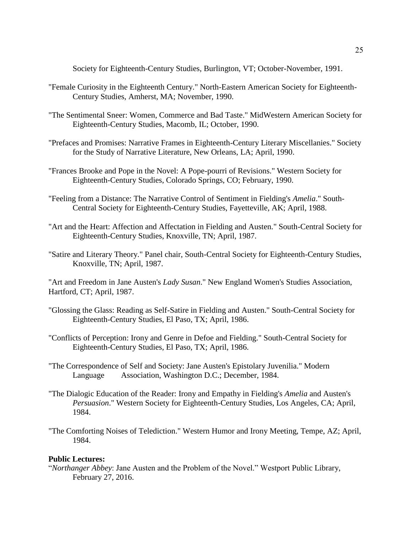Society for Eighteenth-Century Studies, Burlington, VT; October-November, 1991.

- "Female Curiosity in the Eighteenth Century." North-Eastern American Society for Eighteenth-Century Studies, Amherst, MA; November, 1990.
- "The Sentimental Sneer: Women, Commerce and Bad Taste." MidWestern American Society for Eighteenth-Century Studies, Macomb, IL; October, 1990.
- "Prefaces and Promises: Narrative Frames in Eighteenth-Century Literary Miscellanies." Society for the Study of Narrative Literature, New Orleans, LA; April, 1990.
- "Frances Brooke and Pope in the Novel: A Pope-pourri of Revisions." Western Society for Eighteenth-Century Studies, Colorado Springs, CO; February, 1990.
- "Feeling from a Distance: The Narrative Control of Sentiment in Fielding's *Amelia*." South-Central Society for Eighteenth-Century Studies, Fayetteville, AK; April, 1988.
- "Art and the Heart: Affection and Affectation in Fielding and Austen." South-Central Society for Eighteenth-Century Studies, Knoxville, TN; April, 1987.
- "Satire and Literary Theory." Panel chair, South-Central Society for Eighteenth-Century Studies, Knoxville, TN; April, 1987.

"Art and Freedom in Jane Austen's *Lady Susan*." New England Women's Studies Association, Hartford, CT; April, 1987.

- "Glossing the Glass: Reading as Self-Satire in Fielding and Austen." South-Central Society for Eighteenth-Century Studies, El Paso, TX; April, 1986.
- "Conflicts of Perception: Irony and Genre in Defoe and Fielding." South-Central Society for Eighteenth-Century Studies, El Paso, TX; April, 1986.
- "The Correspondence of Self and Society: Jane Austen's Epistolary Juvenilia." Modern Language Association, Washington D.C.; December, 1984.
- "The Dialogic Education of the Reader: Irony and Empathy in Fielding's *Amelia* and Austen's *Persuasion*." Western Society for Eighteenth-Century Studies, Los Angeles, CA; April, 1984.
- "The Comforting Noises of Telediction." Western Humor and Irony Meeting, Tempe, AZ; April, 1984.

# **Public Lectures:**

"*Northanger Abbey*: Jane Austen and the Problem of the Novel." Westport Public Library, February 27, 2016.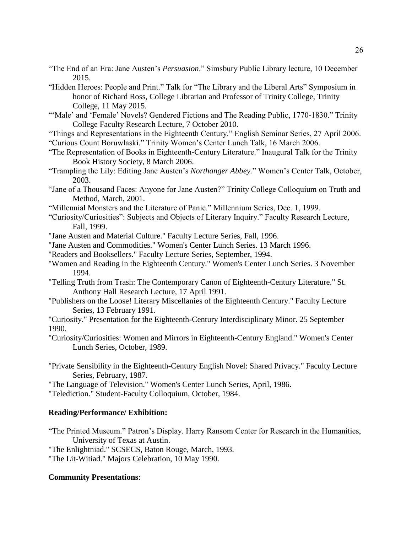- "The End of an Era: Jane Austen's *Persuasion*." Simsbury Public Library lecture, 10 December 2015.
- "Hidden Heroes: People and Print." Talk for "The Library and the Liberal Arts" Symposium in honor of Richard Ross, College Librarian and Professor of Trinity College, Trinity College, 11 May 2015.
- "'Male' and 'Female' Novels? Gendered Fictions and The Reading Public, 1770-1830." Trinity College Faculty Research Lecture, 7 October 2010.
- "Things and Representations in the Eighteenth Century." English Seminar Series, 27 April 2006. "Curious Count Boruwlaski." Trinity Women's Center Lunch Talk, 16 March 2006.
- "The Representation of Books in Eighteenth-Century Literature." Inaugural Talk for the Trinity Book History Society, 8 March 2006.
- "Trampling the Lily: Editing Jane Austen's *Northanger Abbey.*" Women's Center Talk, October, 2003.
- "Jane of a Thousand Faces: Anyone for Jane Austen?" Trinity College Colloquium on Truth and Method, March, 2001.
- "Millennial Monsters and the Literature of Panic." Millennium Series, Dec. 1, 1999.
- "Curiosity/Curiosities": Subjects and Objects of Literary Inquiry." Faculty Research Lecture, Fall, 1999.
- "Jane Austen and Material Culture." Faculty Lecture Series, Fall, 1996.
- "Jane Austen and Commodities." Women's Center Lunch Series. 13 March 1996.
- "Readers and Booksellers." Faculty Lecture Series, September, 1994.
- "Women and Reading in the Eighteenth Century." Women's Center Lunch Series. 3 November 1994.
- "Telling Truth from Trash: The Contemporary Canon of Eighteenth-Century Literature." St. Anthony Hall Research Lecture, 17 April 1991.
- "Publishers on the Loose! Literary Miscellanies of the Eighteenth Century." Faculty Lecture Series, 13 February 1991.
- "Curiosity." Presentation for the Eighteenth-Century Interdisciplinary Minor. 25 September 1990.
- "Curiosity/Curiosities: Women and Mirrors in Eighteenth-Century England." Women's Center Lunch Series, October, 1989.
- "Private Sensibility in the Eighteenth-Century English Novel: Shared Privacy." Faculty Lecture Series, February, 1987.

"The Language of Television." Women's Center Lunch Series, April, 1986.

"Telediction." Student-Faculty Colloquium, October, 1984.

# **Reading/Performance/ Exhibition:**

"The Printed Museum." Patron's Display. Harry Ransom Center for Research in the Humanities, University of Texas at Austin.

"The Enlightniad." SCSECS, Baton Rouge, March, 1993.

"The Lit-Witiad." Majors Celebration, 10 May 1990.

# **Community Presentations**: